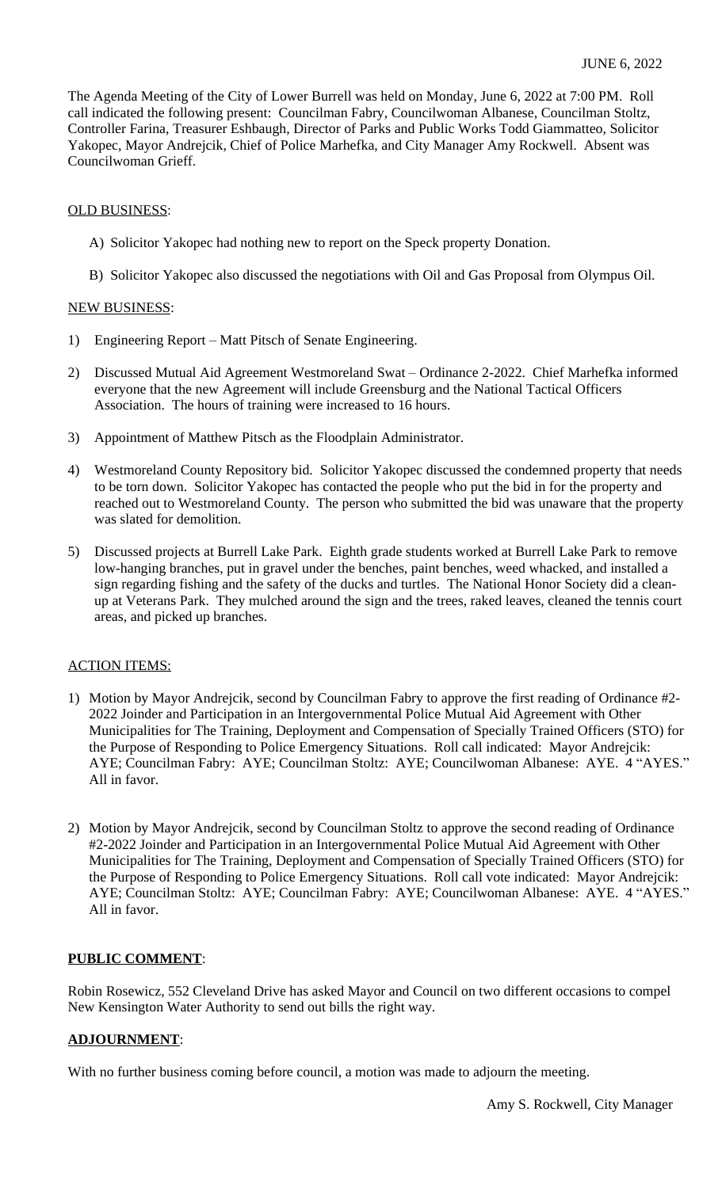The Agenda Meeting of the City of Lower Burrell was held on Monday, June 6, 2022 at 7:00 PM. Roll call indicated the following present: Councilman Fabry, Councilwoman Albanese, Councilman Stoltz, Controller Farina, Treasurer Eshbaugh, Director of Parks and Public Works Todd Giammatteo, Solicitor Yakopec, Mayor Andrejcik, Chief of Police Marhefka, and City Manager Amy Rockwell. Absent was Councilwoman Grieff.

### OLD BUSINESS:

- A) Solicitor Yakopec had nothing new to report on the Speck property Donation.
- B) Solicitor Yakopec also discussed the negotiations with Oil and Gas Proposal from Olympus Oil.

### NEW BUSINESS:

- 1) Engineering Report Matt Pitsch of Senate Engineering.
- 2) Discussed Mutual Aid Agreement Westmoreland Swat Ordinance 2-2022. Chief Marhefka informed everyone that the new Agreement will include Greensburg and the National Tactical Officers Association. The hours of training were increased to 16 hours.
- 3) Appointment of Matthew Pitsch as the Floodplain Administrator.
- 4) Westmoreland County Repository bid. Solicitor Yakopec discussed the condemned property that needs to be torn down. Solicitor Yakopec has contacted the people who put the bid in for the property and reached out to Westmoreland County. The person who submitted the bid was unaware that the property was slated for demolition.
- 5) Discussed projects at Burrell Lake Park. Eighth grade students worked at Burrell Lake Park to remove low-hanging branches, put in gravel under the benches, paint benches, weed whacked, and installed a sign regarding fishing and the safety of the ducks and turtles. The National Honor Society did a cleanup at Veterans Park. They mulched around the sign and the trees, raked leaves, cleaned the tennis court areas, and picked up branches.

# ACTION ITEMS:

- 1) Motion by Mayor Andrejcik, second by Councilman Fabry to approve the first reading of Ordinance #2- 2022 Joinder and Participation in an Intergovernmental Police Mutual Aid Agreement with Other Municipalities for The Training, Deployment and Compensation of Specially Trained Officers (STO) for the Purpose of Responding to Police Emergency Situations. Roll call indicated: Mayor Andrejcik: AYE; Councilman Fabry: AYE; Councilman Stoltz: AYE; Councilwoman Albanese: AYE. 4 "AYES." All in favor.
- 2) Motion by Mayor Andrejcik, second by Councilman Stoltz to approve the second reading of Ordinance #2-2022 Joinder and Participation in an Intergovernmental Police Mutual Aid Agreement with Other Municipalities for The Training, Deployment and Compensation of Specially Trained Officers (STO) for the Purpose of Responding to Police Emergency Situations. Roll call vote indicated: Mayor Andrejcik: AYE; Councilman Stoltz: AYE; Councilman Fabry: AYE; Councilwoman Albanese: AYE. 4 "AYES." All in favor.

# **PUBLIC COMMENT**:

Robin Rosewicz, 552 Cleveland Drive has asked Mayor and Council on two different occasions to compel New Kensington Water Authority to send out bills the right way.

# **ADJOURNMENT**:

With no further business coming before council, a motion was made to adjourn the meeting.